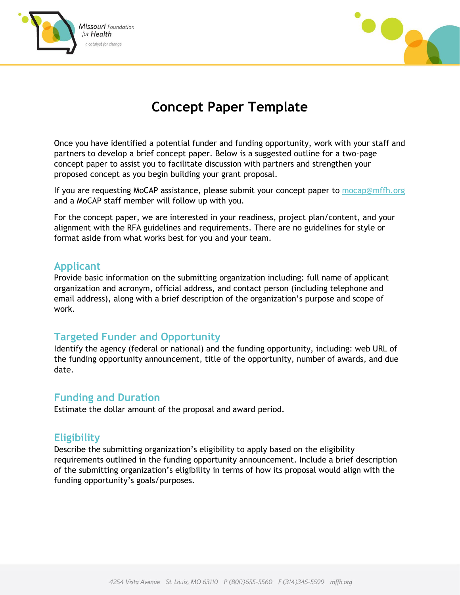



# **Concept Paper Template**

Once you have identified a potential funder and funding opportunity, work with your staff and partners to develop a brief concept paper. Below is a suggested outline for a two-page concept paper to assist you to facilitate discussion with partners and strengthen your proposed concept as you begin building your grant proposal.

If you are requesting MoCAP assistance, please submit your concept paper to [mocap@mffh.org](mailto:mocap@mffh.org) and a MoCAP staff member will follow up with you.

For the concept paper, we are interested in your readiness, project plan/content, and your alignment with the RFA guidelines and requirements. There are no guidelines for style or format aside from what works best for you and your team.

## **Applicant**

Provide basic information on the submitting organization including: full name of applicant organization and acronym, official address, and contact person (including telephone and email address), along with a brief description of the organization's purpose and scope of work.

## **Targeted Funder and Opportunity**

Identify the agency (federal or national) and the funding opportunity, including: web URL of the funding opportunity announcement, title of the opportunity, number of awards, and due date.

## **Funding and Duration**

Estimate the dollar amount of the proposal and award period.

## **Eligibility**

Describe the submitting organization's eligibility to apply based on the eligibility requirements outlined in the funding opportunity announcement. Include a brief description of the submitting organization's eligibility in terms of how its proposal would align with the funding opportunity's goals/purposes.